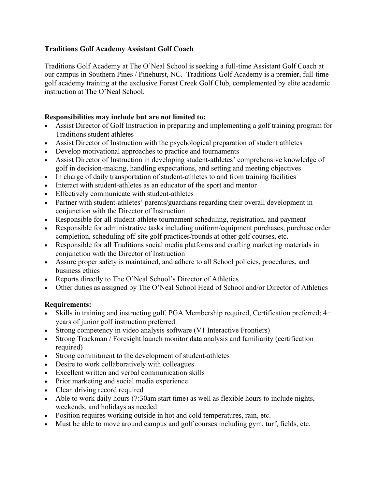## **Traditions Golf Academy Assistant Golf Coach**

Traditions Golf Academy at The O'Neal School is seeking a full-time Assistant Golf Coach at our campus in Southern Pines / Pinehurst, NC. Traditions Golf Academy is a premier, full-time golf academy training at the exclusive Forest Creek Golf Club, complemented by elite academic instruction at The O'Neal School.

## **Responsibilities may include but are not limited to:**

- Assist Director of Golf Instruction in preparing and implementing a golf training program for Traditions student athletes
- Assist Director of Instruction with the psychological preparation of student athletes
- Develop motivational approaches to practice and tournaments
- Assist Director of Instruction in developing student-athletes' comprehensive knowledge of golf in decision-making, handling expectations, and setting and meeting objectives
- In charge of daily transportation of student-athletes to and from training facilities
- Interact with student-athletes as an educator of the sport and mentor
- Effectively communicate with student-athletes
- Partner with student-athletes' parents/guardians regarding their overall development in conjunction with the Director of Instruction
- Responsible for all student-athlete tournament scheduling, registration, and payment
- Responsible for administrative tasks including uniform/equipment purchases, purchase order completion, scheduling off-site golf practices/rounds at other golf courses, etc.
- Responsible for all Traditions social media platforms and crafting marketing materials in conjunction with the Director of Instruction
- Assure proper safety is maintained, and adhere to all School policies, procedures, and business ethics
- Reports directly to The O'Neal School's Director of Athletics
- Other duties as assigned by The O'Neal School Head of School and/or Director of Athletics

## **Requirements:**

- Skills in training and instructing golf. PGA Membership required, Certification preferred; 4+ years of junior golf instruction preferred.
- Strong competency in video analysis software (V1 Interactive Frontiers)
- Strong Trackman / Foresight launch monitor data analysis and familiarity (certification required)
- Strong commitment to the development of student-athletes
- Desire to work collaboratively with colleagues
- Excellent written and verbal communication skills
- Prior marketing and social media experience
- Clean driving record required
- Able to work daily hours (7:30am start time) as well as flexible hours to include nights, weekends, and holidays as needed
- Position requires working outside in hot and cold temperatures, rain, etc.
- Must be able to move around campus and golf courses including gym, turf, fields, etc.